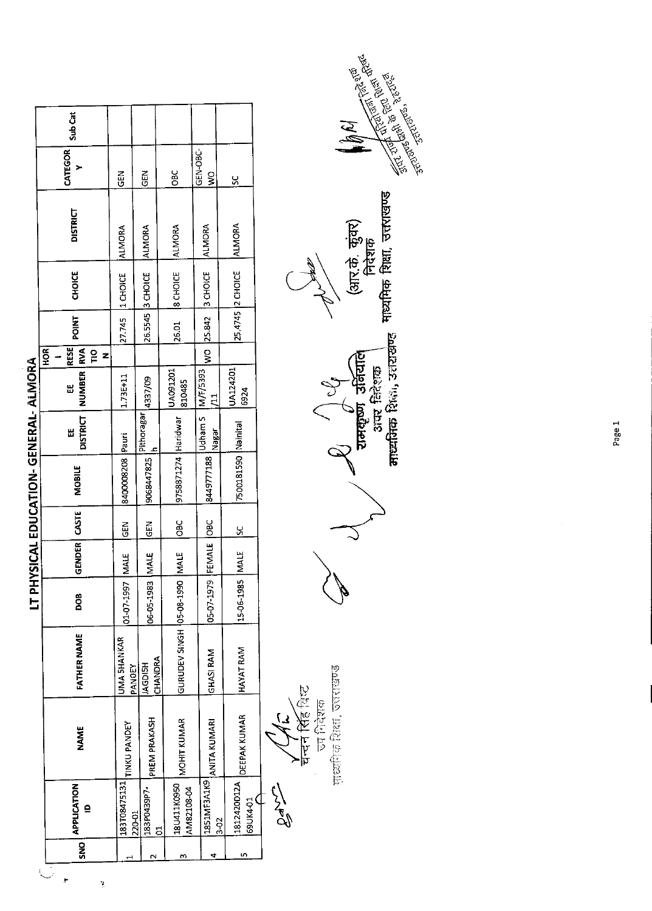|            |                                    |                     |                                |                       |               |              | LT PHYSICAL EDUCATION- GENERAL- ALMORA |                      |                                      |                                                                               |                    |                 |                           |         |
|------------|------------------------------------|---------------------|--------------------------------|-----------------------|---------------|--------------|----------------------------------------|----------------------|--------------------------------------|-------------------------------------------------------------------------------|--------------------|-----------------|---------------------------|---------|
| <b>SNO</b> | <b>APPLICATION</b><br>$\mathbf{r}$ | <b>NAME</b>         | <b>FATHER NAME</b>             | 800                   | <b>GENDER</b> | CSE          | <b>MOBILE</b>                          | <b>DISTRICT</b><br>ᇣ | NUMBER<br>出                          | <b>POINT</b><br><b>RVA</b><br><b>ROK</b><br><b>RESE</b><br>$\frac{1}{2}$<br>z | <b>CHOICE</b>      | <b>DISTRICT</b> | CATEGOR                   | Sub Cat |
|            | 183T08475131<br>220-01             | <b>TINKU PANDEY</b> | <b>UMA 5HANKAR</b><br>PANDEY   | 01-07-1997 MALE       |               | $rac{5}{65}$ | 8400008208 Pauri                       |                      | 1.73E+11                             |                                                                               | 27.745 1 CHOICE    | <b>ALMORA</b>   | GEN                       |         |
|            | 183P0439P7-                        | PREM PRAKASH        | CHANDRA<br><b>HSIOPYI</b>      | 06-05-1983 MALE       |               | <b>MBD</b>   | 9068447825                             | Pithoragar           | 4337/09                              |                                                                               | 26.5545 3 CHOICE   | ALMORA          | る                         |         |
|            | 18U411K0950<br>AM82108-04          | MOHIT KUMAR         | GURUDEV SINGH 05-08-1990  MALE |                       |               | $rac{6}{5}$  | 9758871274 Haridwar                    |                      | UA091201<br>810485                   | 26.01                                                                         | <b>8 CHOICE</b>    | ALMORA          | <b>OBC</b>                |         |
| 4          | 1851MF3A1K9<br>$3 - 02$            | <b>ANITA KUMARI</b> | <b>GHASI RAM</b>               | 05-07-1979 FEMALE OBC |               |              | 8449777188                             | Nagar                | Udham S   M/F/5393<br>$\overline{1}$ |                                                                               | WO 25.842 3 CHOICE | ALMORA          | GEN-OBC-<br>$\frac{8}{2}$ |         |
|            | 1812420012A<br>69UK4-01            | DEEPAK KUMAR        | HAYAT RAM                      | 15-06-1985 MALE       |               | <u>ين</u>    | 7500181590 Nainital                    |                      | UA124201<br>6924                     |                                                                               | 25.4745 2 CHOICE   | <b>ALMORA</b>   | ပ္က                       |         |
|            |                                    |                     |                                |                       |               |              |                                        |                      |                                      |                                                                               |                    |                 |                           |         |

i.

**SARA** 

प्राप्ति हि विस्ट<br>चन्दन सिंह विस्ट<br>जाभियेक विस्थाक<br>माध्यपिक विक्षा, उजराखण्ड

 $\mathcal{P}_1$   $\left(\bigcup\limits_{\substack{3\leq m\leq n\text{ prime}}}\int\limits_{\mathbb{R}^n}\frac{1}{2\pi\sigma^2}\right)$  (3117. $\hat{\sigma}$ ,  $\hat{\sigma}_3$ 37)<br>anexport and the state (3117. $\hat{\sigma}$ ,  $\hat{\sigma}_3$ 37)

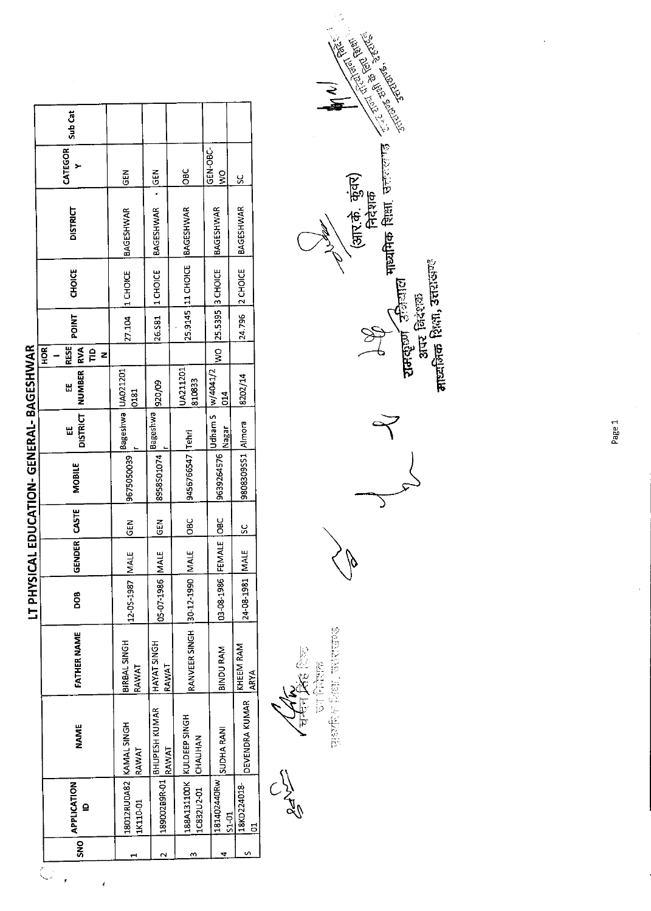|                                             |                                    |                                        |                               |                       |              |               | LT PHYSICAL EDUCATION-GENERAL-BAGESHWAR |                             |                          |                                                          |              |                     |                  |                      |         |
|---------------------------------------------|------------------------------------|----------------------------------------|-------------------------------|-----------------------|--------------|---------------|-----------------------------------------|-----------------------------|--------------------------|----------------------------------------------------------|--------------|---------------------|------------------|----------------------|---------|
| SNO <sup>1</sup><br>$\overline{\mathbb{C}}$ | <b>APPLICATION</b><br>$\mathbf{r}$ | <b>NAME</b>                            | FATHER NAME                   | DOB <sub>1</sub>      | GENDER CASTE |               | <b>MOBILE</b>                           | <b>DISTRICT</b><br>Ш        | NUMBER <sup>1</sup><br>H | <b>RESE</b><br><b>IRVA</b><br>HOR <sub>I</sub><br>Ê<br>z | <b>TAIO4</b> | CHOICE              | <b>DISTRICT</b>  | CATEGOR              | Sub Cat |
|                                             | 1K110-01                           | 18012RU0A82 KAMAL SINGH<br>RAWAT       | <b>BIRBAL SINGH</b><br>RAWAT  | 12-05-1987            | <b>IMALE</b> | <b>IGEN</b>   | 9675050039                              | Bageshwa   UA021201         | 0181                     |                                                          |              | 27.104 1 CHOICE     | <b>BAGESHWAR</b> | <b>GEN</b>           |         |
| N                                           |                                    | 1,89002B9R-01   BHUPESH KUMAR<br>RAWAT | HAYAT SINGH<br>RAWAT          | 05-07-1986 MALE       |              | $rac{2}{3}$   | 8958501074                              | Bageshwa                    | 920/09                   |                                                          |              | 26.581 1 CHOICE     | BAGESHWAR - GEN  |                      |         |
| m                                           | 1C832U2-01 CHAUHAN                 | 188A131100K KULDEEP SINGH              | RANVEER SINGH 30-12-1990 MALE |                       |              | <b>DBC</b>    | 9456766547 Tehri                        |                             | UA211201<br>810833       |                                                          |              | 25.9145 11 CHOICE   | BAGESHWAR        | <b>OBC</b>           |         |
| 4                                           | 181402440Rw<br>$51 - 01$           | <b>SUDHA RANI</b>                      | <b>BINDU RAM</b>              | 03-08-1986 FEMALE OBC |              |               | 9639264576                              | Udham S   w/4041/2<br>Nagar | 014                      |                                                          |              | WO 25.5395 3 CHOICE | BAGESHWAR        | <b>GEN-OBC-</b><br>ş |         |
| n                                           | 18KD224018-<br>5                   | DEVENDRA KUMAR                         | KHEEM RAM<br>ARYA             | 24-08-1981   MALE     |              | $\frac{6}{5}$ | 9808309SS1 Almora                       |                             | 8202/14                  |                                                          |              | 24.796 2 CHOICE     | <b>BAGESHWAR</b> | ပ္တ                  |         |

どくい

le<br>Xe 医皮层  $\frac{1}{12}$ 

mathement, were seen

১  $\phi$ 

RA



Page 1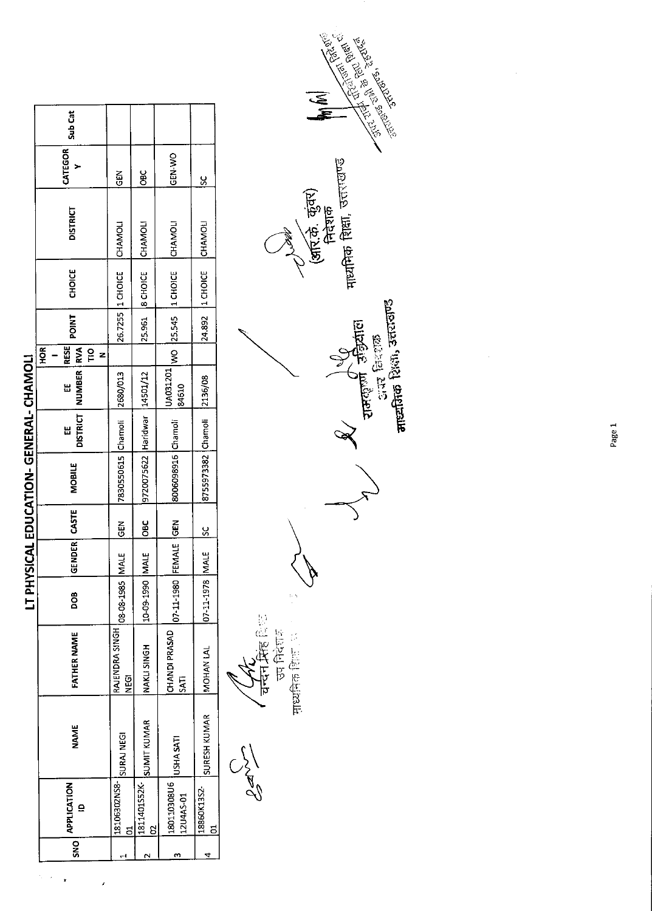|             |                                    |                    |                          |                        |              |               | LT PHYSICAL EDUCATION- GENERAL- CHAMOLI |               |                   |                                          |              |                    |                 |               |         |
|-------------|------------------------------------|--------------------|--------------------------|------------------------|--------------|---------------|-----------------------------------------|---------------|-------------------|------------------------------------------|--------------|--------------------|-----------------|---------------|---------|
| $rac{1}{2}$ | <b>APPLICATION</b><br>$\mathbf{a}$ | <b>NAME</b>        | FATHER NAME              | DOB                    | GENDER CASTE |               | <b>MOBILE</b>                           | DISTRICT<br>Ш | NUMBER RVA<br>Ш   | <b>RESE</b><br>HOR<br>$\frac{1}{2}$<br>Z | <b>TNID4</b> | <b>CHOICE</b>      | <b>DISTRICT</b> | CATEGOR       | Sub Cat |
| ᆏ           | 18106302NS8-<br><u>ដ</u>           | SURAJ NEGI         | RAJENDRA SINGH<br>ง<br>2 | <b>08-08-1985 MALE</b> |              | <b>GEN</b>    | 7830550615 Chamoli                      |               | 2680/013          |                                          |              | 26.7255 1 CHOICE   | CHAMOLI         | $rac{5}{9}$   |         |
| N           | 1811401552K-<br>8                  | <b>SUMIT KUMAR</b> | <b>NAKLI SINGH</b>       | 10-09-1990 MALE        |              | $rac{6}{5}$   | 9720075622 Haridwar   14501/12          |               |                   |                                          | 25.961       | <b>8 CHOICE</b>    | CHAMOLI         | ğ             |         |
| m           | 180110308U6<br>12U4AS-01           | USHA SATI          | CHANDI PRASAD<br>SAT     | 07-11-1980 FEMALE GEN  |              |               | 8006098916 Chamoli                      |               | UA031201<br>84610 |                                          |              | WO 25.545 1 CHOICE | CHAMOLI         | GEN-WO        |         |
| 4           | 18860K13S2-<br>៊                   | SURESH KUMAR       | <b>MOHAN LAL</b>         | 07-11-1978 MALE        |              | $\frac{8}{2}$ | 8755973382 Chamoli 2136/08              |               |                   |                                          |              | 24.892 1 CHOICE    | CHAMOLI         | $\frac{6}{5}$ |         |
|             |                                    | $\frac{1}{2}$      | ं हैं। फ़िल्ह हैं।       |                        |              |               |                                         |               |                   |                                          |              |                    |                 |               |         |

 $\alpha_{\rm c}$  ,  $\beta_{\rm c}$  $\ddot{\phantom{1}}$ 

 $\lambda$ 

**Communication Property Communication** ্য<br>জ ॅ(अरि.के. कुंवर)<br>निदेशक<br>माध्यमिक शिक्षा, उत्तराखण्ड **AV**<br>Entrained Essains<br>Erre forcess √ चन्दन मिंह विख्य<br>उप मिदेन मिंह विख्य<br>साध्यनिक विख्यात

Page 1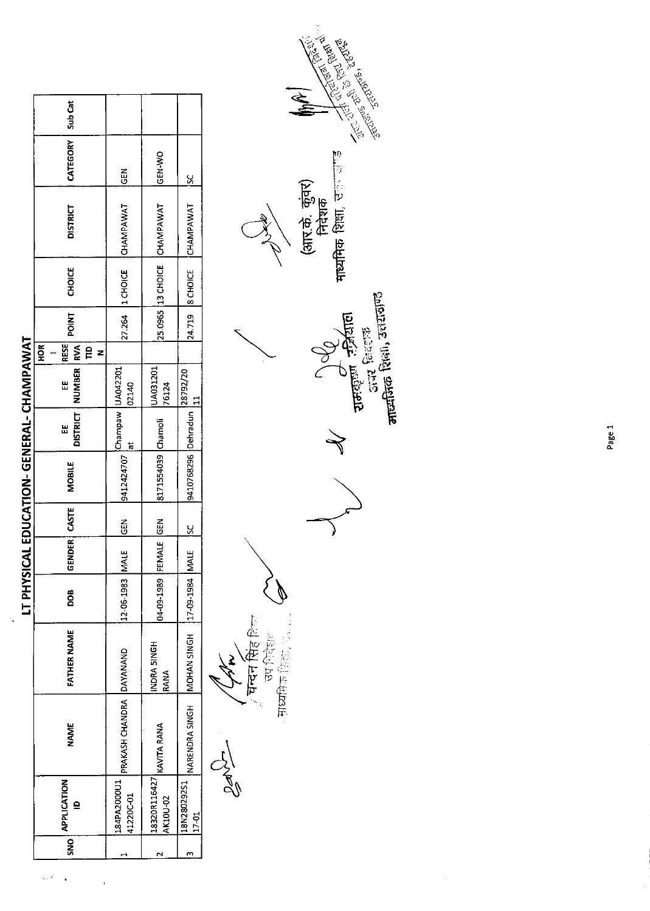|     |                                    |                          |                    |                       |               |               | LT PHYSICAL EDUCATION-GENERAL- CHAMPAWAT                                                 |                      |                          |                               |              |                   |                 |                 |         |
|-----|------------------------------------|--------------------------|--------------------|-----------------------|---------------|---------------|------------------------------------------------------------------------------------------|----------------------|--------------------------|-------------------------------|--------------|-------------------|-----------------|-----------------|---------|
| SNO | <b>APPLICATION</b><br>$\mathbf{r}$ | <b>NAME</b>              | <b>FATHER NAME</b> | <b>BOO</b>            | <b>GENDER</b> | <b>CASTE</b>  | <b>MOBILE</b>                                                                            | <b>DISTRICT</b><br>Ш | NUMBER RVA<br>Ш          | RESE<br>$rac{R}{2}$<br>e<br>z | <b>POINT</b> | <b>CHOICE</b>     | <b>DISTRICT</b> | <b>CATEGORY</b> | Sub Cat |
|     | 184PA2000U1<br>41220C-01           | PRAKASH CHANDRA DAYANAND |                    | 12-06-1983 MAL        |               | $rac{2}{9}$   | $\left  \frac{9412424707}{4} \right ^{(Champaw)} \left  \frac{104042201}{92140} \right $ |                      |                          |                               |              | 27.264   1 CHOICE | CHAMPAWAT       | $rac{2}{9}$     |         |
|     | 18320R116427<br>AK10U-02           | KAVITA RANA              | NDRA 5INGH<br>RANA | 04-09-1989 FEMALE GEN |               |               | 8171554039 Chamoli                                                                       |                      | UA031201<br>76124        |                               |              | 25.0965 13 CHOICE | CHAMPAWAT       | GEN-WO          |         |
|     | 18N280292S1<br>$17 - 01$           | NARENDRA SINGH           | MOHAN SINGH        | 17-09-1984 MAL        |               | $\frac{2}{5}$ | 9410768296 Dehradun                                                                      |                      | 28792/20<br>$\mathbf{r}$ |                               |              | 24.719  8 CHOICE  | CHAMPAWAT       | $\frac{8}{5}$   |         |
|     |                                    | News                     | z<br>×             |                       |               |               |                                                                                          |                      |                          |                               |              |                   | $\subset$       |                 |         |

 $\ddot{\phantom{0}}$ 

a.  $\hat{\mathbf{r}}$ 

 $\overline{\phantom{a}}$ 

 $\ell$ े **घन्दन मिंह** हिन्स<br>उप निर्देशल<br>सध्यमिक विद्या

 $\prec$ 

माध्यमिक शिक्षा, स्टल प्राण्ड (आर.के. कुंवर)<br>निदेशक V<br>Jergen Faint<br>Jergen Faint

**Communication Section**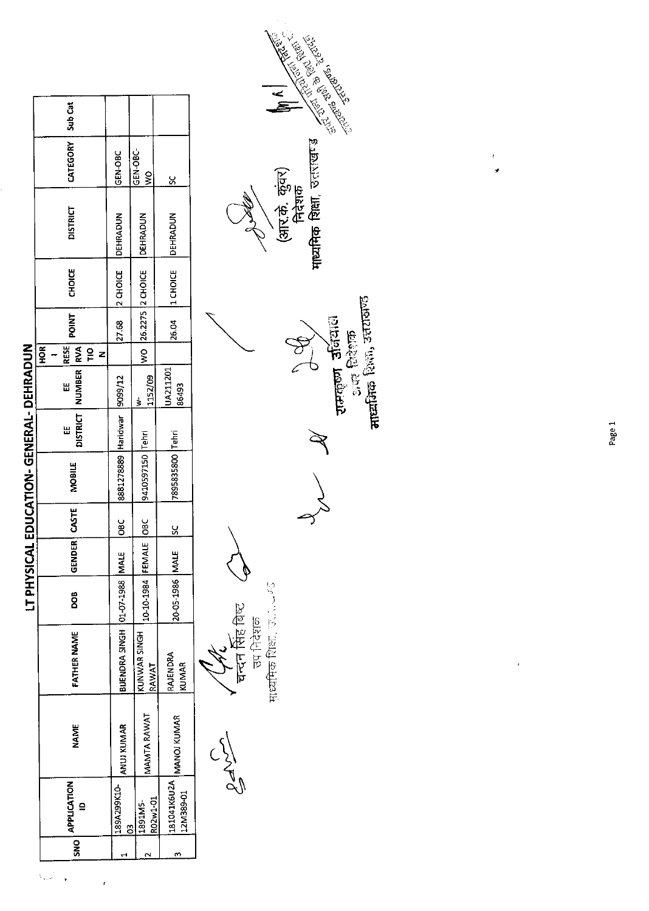|                  |                          |             |                                   | <b>ISAHd L1</b>       |              |                    | CAL EDUCATION-GENERAL-DEHRADUN |   |                              |                                                  |              |                     |                 |                                  |         |
|------------------|--------------------------|-------------|-----------------------------------|-----------------------|--------------|--------------------|--------------------------------|---|------------------------------|--------------------------------------------------|--------------|---------------------|-----------------|----------------------------------|---------|
| SNO <sup>1</sup> | <b>APPLICATION</b><br>≘  | NAME        | FATHER NAME                       | 800                   | GENDER CASTE |                    | MOBILE                         | Ш | DISTRICT   NUMBER   RVA<br>W | <b>RESE</b><br>HOR <sup>I</sup><br><u>은</u><br>z | <b>POINT</b> | <b>CHOICE</b>       | <b>DISTRICT</b> | CATEGORY                         | Sub Cat |
|                  | 189A299K10-<br>S         | ANUJ KUMAR  | BUENDRA SINGH   01-07-1988   MALE |                       |              | $rac{c}{\sqrt{2}}$ | 8881278889 Haridwar 9099/12    |   |                              |                                                  |              | 27.68 2 CHOICE      | <b>DEHRADUN</b> | GEN-OBC                          |         |
|                  | R02w1-01<br>1891M5-      | MAMTA RAWAT | KUNWAR SINGH<br>RAWAT             | 10-10-1984 FEMALE OBC |              |                    | 9410597150 Tehri               |   | 1152/09<br>ś                 |                                                  |              | WO 26.2275 2 CHOICE | <b>DEHRADUN</b> | GEN-OBC-<br>$\tilde{\mathbf{z}}$ |         |
| m                | 181041K6U2A<br>12M389-01 | MANOJ KUMAR | RAJENDRA<br><b>KUMMAR</b>         | 20-05-1986 MALE       |              | $\frac{2}{5}$      | 7895835800 Tehri               |   | UA211201<br>86493            |                                                  | 26.04        | 1 CHOICE            | <b>DEHRADUN</b> | ž                                |         |
|                  |                          |             |                                   |                       |              |                    |                                |   |                              |                                                  |              |                     |                 |                                  |         |

 $\overline{1}$ 

Cave Virginia C

रामकृष्ण उतिदाल<br>अक् विदेशक<br>माध्यमिक शिक्षा, उत्तरासण्ड  $\frac{d}{d}$  $\mathbb{R}$ 



Page 1

 $\mathfrak{k}$ 

 $\cdot$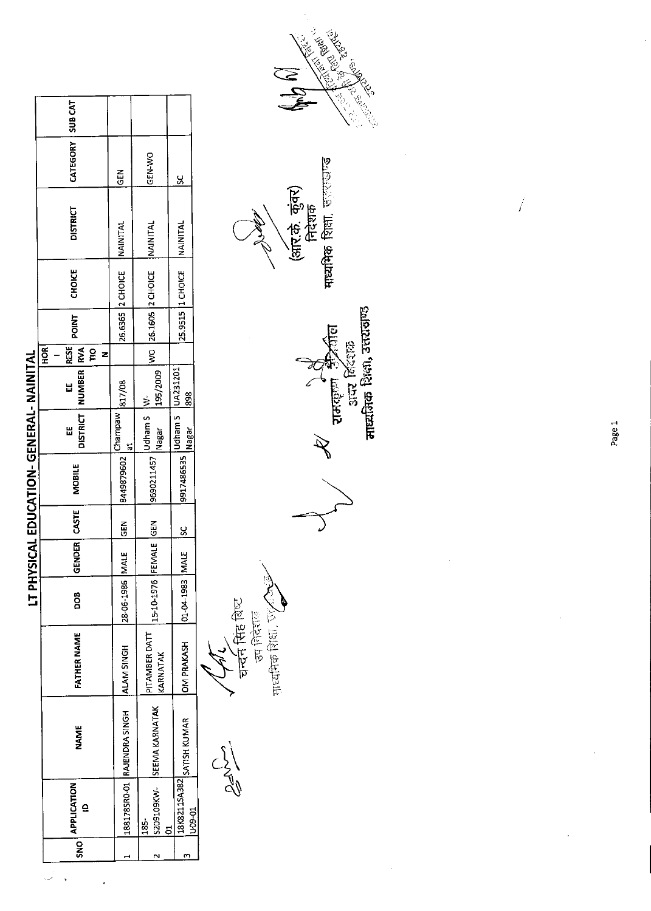| í, |  |
|----|--|
| t  |  |
|    |  |
|    |  |
|    |  |
|    |  |
|    |  |
|    |  |
|    |  |
|    |  |
|    |  |
|    |  |
|    |  |
|    |  |
|    |  |
|    |  |
|    |  |
|    |  |
|    |  |
|    |  |
|    |  |
|    |  |
| ī  |  |
|    |  |
|    |  |
|    |  |
|    |  |
|    |  |
| I  |  |
|    |  |
|    |  |
| J  |  |
|    |  |
| I  |  |
|    |  |
|    |  |
|    |  |
|    |  |
|    |  |
|    |  |
|    |  |
|    |  |
|    |  |
|    |  |
|    |  |
|    |  |
|    |  |
|    |  |
|    |  |
|    |  |
|    |  |

|                  |             |                                                                                         |                                                         |                          |                                    |                | LT PHYSICAL EDUCATION-GENERAL- NAINITAL |                                                                                                                                                                                                                                                                                    |                                           |                                                         |                                                 |                    |
|------------------|-------------|-----------------------------------------------------------------------------------------|---------------------------------------------------------|--------------------------|------------------------------------|----------------|-----------------------------------------|------------------------------------------------------------------------------------------------------------------------------------------------------------------------------------------------------------------------------------------------------------------------------------|-------------------------------------------|---------------------------------------------------------|-------------------------------------------------|--------------------|
| APPLICATION<br>ë | <b>NAME</b> | FATHER NAME                                                                             | 8<br>Do                                                 |                          | MOBILE                             | Ш              | <b>HOR</b><br>出                         |                                                                                                                                                                                                                                                                                    | <b>CHOICE</b>                             | <b>DISTRICT</b>                                         |                                                 |                    |
|                  |             |                                                                                         |                                                         |                          |                                    |                |                                         |                                                                                                                                                                                                                                                                                    |                                           | <b>NAINITAL</b>                                         | <b>GEN</b>                                      |                    |
|                  |             | KARNATAK                                                                                | 15-10-1976                                              |                          |                                    |                |                                         |                                                                                                                                                                                                                                                                                    |                                           |                                                         | GEN-WO                                          |                    |
|                  |             |                                                                                         |                                                         |                          |                                    |                |                                         |                                                                                                                                                                                                                                                                                    |                                           |                                                         | <u>ي</u>                                        |                    |
|                  |             | 188178SRO-01 RAJENDRA SINGH<br>S209109KW- SEEMA KARNATAK<br>. 18K8211SA382 SATISH KUMAR | PITAMBER DATT<br><b>OM PRAKASH</b><br><b>ALAM SINGH</b> | 28-06-1986<br>01-04-1983 | MALE CEN<br>FEMALE GEN<br>MALE  SC | GENDER   CASTE | Nagar<br>9917486535                     | Udham S   UA231201<br>195/2009<br>$[8449879602] \frac{\text{Champaw}}{\text{at}} \frac{\text{at}}{\text{817/08}}$<br>898<br>$\begin{array}{ l } \hline \text{9690211457} & \text{Iudham S} & \text{W-} \\ \hline \text{9690211457} & \text{Nagar} & \text{195} \hline \end{array}$ | RESE<br>DISTRICT   NUMBER   RVA<br>g<br>Z | WO 26.1605 2 CHOICE<br>26.6365 2 CHOICE<br><b>POINT</b> | 25.9515  1 CHOICE   NAINITAL<br><b>NAINITAL</b> | CATEGORY   SUB CAT |

 $C_{2}^{3}$ 

**'चर्च्दन सिंह** बिष्ट<br>उप निरंगक

Freether Reer, Wy

 $\mathscr{F}$ 

*र* रामकृष्ण क्रीक्रील<br>अपर बिंदशक<br>माध्यमिक शिक्षा, उत्तरासण्ड





Page 1

 $\overline{\sqrt{2}}$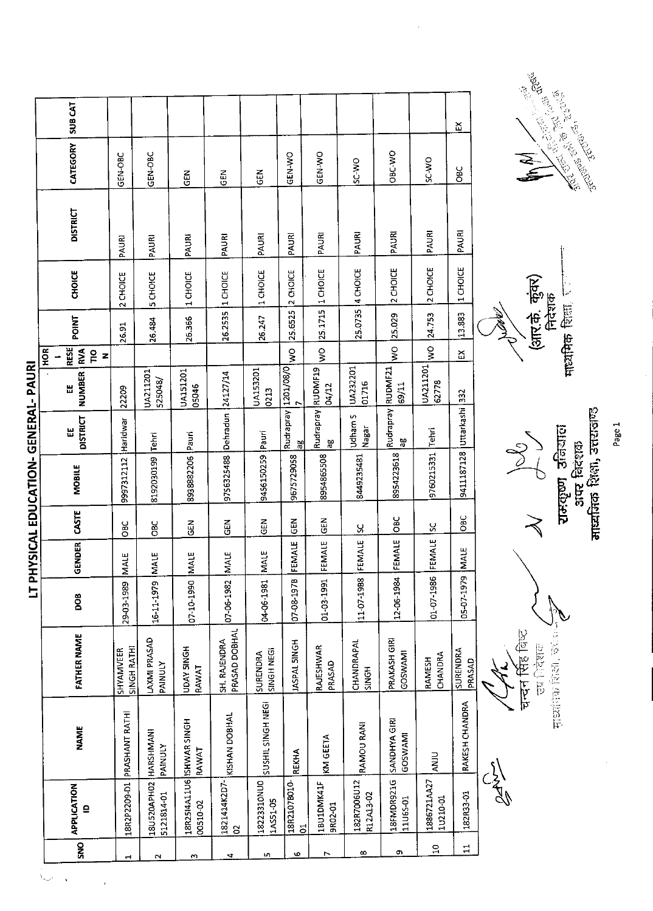|                                         | SUB CAT                                  |                          |                                |                                   |                               |                         |                     |                         |                          |                            |                         | ឆ្ន                       |             |                                                                   |                          |
|-----------------------------------------|------------------------------------------|--------------------------|--------------------------------|-----------------------------------|-------------------------------|-------------------------|---------------------|-------------------------|--------------------------|----------------------------|-------------------------|---------------------------|-------------|-------------------------------------------------------------------|--------------------------|
|                                         | CATEGORY                                 | GEN-OBC                  | GEN-OBC                        | GEN                               | $rac{2}{5}$                   | 군<br>양                  | GEN-WO              | GEN-WO                  | SC-WO                    | OBC-WO                     | SC WO                   | <b>OBC</b>                |             | e de la Cardella<br>Santa Cardella<br>Santa Cardella<br><b>AN</b> |                          |
|                                         | <b>DISTRICT</b>                          | PAURI                    | PAURI                          | PAURI                             | PAURI                         | PAURI                   | PAURI               | PAURI                   | PAURI                    | PAURI                      | PAURI                   | PAURI                     |             |                                                                   |                          |
|                                         | CHOICE                                   | 2 CHOICE                 | 5 CHOICE                       | 1 CHOICE                          | 1 CHOICE                      | 1 CHOICE                | 2 CHOICE            | 25.1715 1 CHOICE        | 25.0735 4 CHOICE         | 2 CHOICE                   | 2 CHOICE                | 1 CHOICE                  |             |                                                                   |                          |
|                                         | POINT                                    | 26.91                    | 26.484                         | 26.366                            | 26.2535                       | 26.247                  | 25.6525             |                         |                          | 25.029                     | 24.753                  | 13.883                    |             | (आर.के. कुंकर)                                                    | निदेशक<br>THE REAL POINT |
|                                         | RESE<br>HOR<br>RVA<br>$\frac{1}{2}$<br>z |                          |                                |                                   |                               |                         | $\frac{8}{5}$       | $\frac{8}{2}$           |                          | $\frac{1}{2}$              | $\frac{1}{2}$           | Σ                         |             |                                                                   |                          |
|                                         | <b>NUMBER</b><br>溫                       | 22209                    | UA211201<br>525048/            | UA151201<br>05046                 |                               | UA153201<br>0213        | Rudrapray 1201/08/0 | 04/12                   | UA232201<br>01716        | Rudrapray RUDMF21<br>69/11 | UA211201<br>62778       |                           |             |                                                                   |                          |
|                                         | <b>DISTRICT</b><br>Ш                     | Haridwar                 | <b>Tehri</b>                   |                                   |                               |                         | မ္က                 | Rudrapray RUDMF19<br>ãρ | Udham S<br>Nagar         | Яô                         | Tehri                   |                           |             |                                                                   |                          |
| <b>FIYSICAL EDUCATION-GENERAL-PAURI</b> | <b>MOBILE</b>                            | 9997312112               | 8192030199                     | 8938882206 Pauri                  | 9756325488 Dehradun 24127/14  | 9456150259 Pauri        | 9675729058          | 8954865508              | 8449235481               | 8954223618                 | 9760215331              | 9411187128 Uttarkashi 332 |             | $\frac{1}{2}$                                                     | रामकृष्ण उनियाल          |
|                                         | CASTE                                    | ÖBC                      | OBC                            | GEN                               | GEN                           | GEN                     | GEN                 | GEN                     | ႘                        | OBC                        | ς,                      | OBC                       |             |                                                                   |                          |
|                                         | <b>GENDER</b>                            | <b>MALE</b>              | MALE                           | <b>MALE</b>                       | <b>MALE</b>                   | MALE                    | FEMALE              | FEMALE                  | FEMALE                   | FEMALE                     | FEMALE                  | <b>MALE</b>               |             |                                                                   |                          |
|                                         | DOB                                      | 29-03-1989               | 16-11-1979                     | 07-10-1990                        | 07-06-1982                    | 04-06-1981              | 07-08-1978          | 01-03-1991              | 11-07-1988               | 12-06-1984                 | 01-07-1986              | 05-07-197                 |             |                                                                   |                          |
|                                         | <b>FATHER NAME</b>                       | SINGH RATHI<br>SHYAMVEER | LAXMI PRASAD<br><b>PAINULY</b> | <b>UDAY SINGH</b><br>RAWAT        | PRASAD DOBHAL<br>SH. RAJENDRA | SINGH NEGI<br>SURENDRA  | <b>HONIS JASPAL</b> | RAJESHWAR<br>PRASAD     | CHANDRAPAL<br>SINGH      | PRAKASH GIRI<br>GOSWAM!    | CHANDRA<br>RAMESH       | SURENDRA<br>PRASAD        |             | चन्दन सिंह बिष्ट<br>ला निर्देश                                    | 1922. 死亡,在社区长            |
|                                         | <b>NAME</b>                              | PRASHANT RATHI           | HARSHMANI<br><b>PAINULY</b>    | 18R2514A11U6 SHWAR SINGH<br>RAWAT | KISHAN DOBHAL                 | SUSHIL SINGH NEGI       | <b>REKHA</b>        | KM GEETA                | RAMOU RANI               | SANDHYA GIRI<br>GOSWAMI    | <b>ANJU</b>             | <b>RAKESH CHANDRA</b>     |             |                                                                   |                          |
|                                         | <b>APPLICATION</b><br>$\mathbf{r}$       | 18R2P2209-D1             | 18U520APH02<br>5121814-01      | 00510-02                          | 1821414K2D7<br>a              | 18223310NU0<br>1AS51-05 | 18R2107B010-<br>5   | 1BU1DMK41F<br>9R02-01   | 182R7006U12<br>R12A13-02 | 18FMDR921G<br>11U65-01     | 1886721AA27<br>10210-01 | 182R33-01                 | <b>STAR</b> |                                                                   |                          |
|                                         | $\overline{S}$                           |                          |                                |                                   | a                             | LO <sub>1</sub>         | O.                  | N                       | $\infty$                 | Ō,                         | $\Xi$                   | $\Xi$                     |             |                                                                   |                          |

CENEDAL DAIDI  $\ddot{ }$ i **Canadian** 

 $\frac{1}{\sqrt{2}}$ 

 $\ddot{\phantom{a}}$ 

रामकूण उनियाल<br>- अप बिरंशक<br>माझ्मीनक शिक्षा, उत्तराजण्ड

ŀ निदेशक<br>माध्यमिक शिक्षा, राजन



Page 1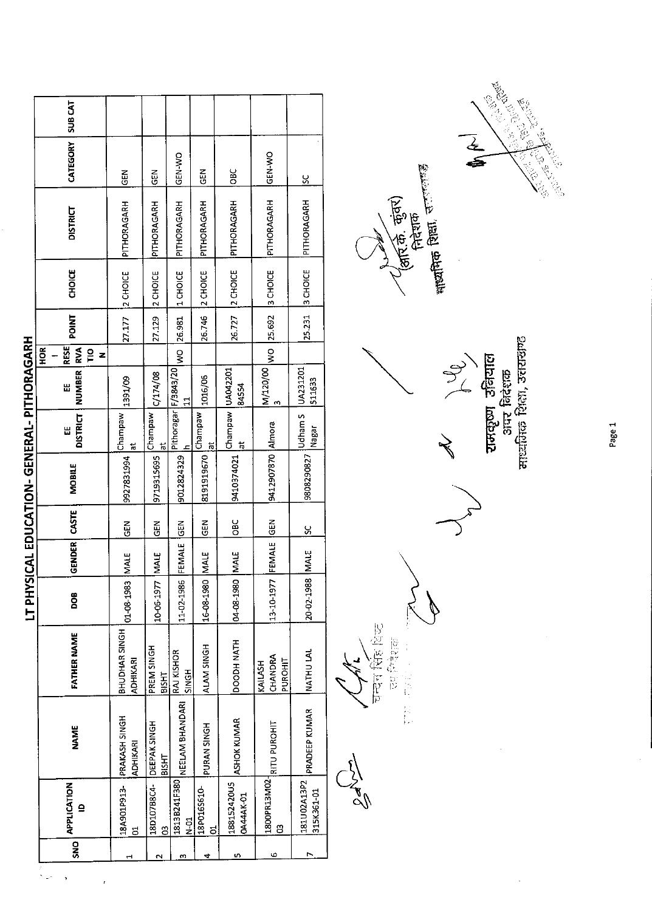| CATEGORY<br>GEN-WO<br>GEN-WO<br>ÖВ<br>ĞE<br>$\frac{2}{9}$<br>乙<br>じ<br><u>s</u><br>PITHORAGARH<br>PITHORAGARH<br>PITHORAGARH<br>PITHORAGARH<br>PITHORAGARH<br>PITHORAGARH<br>PITHORAGARH<br><b>DISTRICT</b><br>3 CHOICE<br><b>CHOICE</b><br>3 CHOICE<br>2 CHOICE<br>2 CHOICE<br>2 CHOICE<br>1 CHOICE<br>2 CHOICE<br>27.177<br><b>POINT</b><br>26.727<br>WO 25.692<br>27.129<br>25.231<br>26.746<br>26.981<br>SICAL EDUCATION-GENERAL-PITHORAGARH<br><b>RESE</b><br>$rac{R}{2}$<br><b>RVA</b><br>$rac{6}{5}$<br>$\frac{1}{2}$<br>z<br>NUMBER <sup>1</sup><br>Pithoragar   F/3843/20<br>M/120/00<br>UA231201<br>Champaw UA042201<br>C/174/08<br>1016/06<br>1391/09<br>511633<br>띮<br>84554<br>m<br>Champaw<br>Udham S<br>Champaw<br>Champaw<br><b>DISTRICT</b><br>9412907870 Almora<br>Nagar<br>Ш<br>ă<br>$\overline{\overline{6}}$<br>$\vec{a}$<br>Ħ<br>9808290827<br>9410374021<br>9927831994<br>9719315695<br>8191919670<br>9012824329<br><b>MOBILE</b><br>GENDER CASTE<br><b>OBC</b><br>13-10-1977 FEMALE GEN<br>GEN<br>GEN<br><b>ABS</b><br>$rac{1}{2}$<br>S,<br>FEMALE<br>20-02-1988 MALE<br>04-08-1980 MALE<br>16-08-1980 MALE<br><b>MALE</b><br><b>NALE</b><br>11-02-1986<br>01-08-1983<br>10-06-1977<br><b>TTPHY</b><br>DOB<br>BHUDHAR SINGH<br>FATHER NAME<br><b>HIAN HOODDOO</b><br>ALAM SINGH<br>PREM SINGH<br><b>NATHU LAL</b><br>RAJ KISHOR<br>CHANDRA<br><b>ADHIKARI</b><br>PUROHIT<br>KAILASH<br><b>SINGH</b><br>BISHT<br>NEELAM BHANDARI<br>PRADEEP KUMAR<br>PRAKASH SINGH<br><b>ASHOK KUMAR</b><br>DEEPAK SINGH<br>RITU PUROHIT<br>PURAN SINGH<br><b>NAME</b><br><b>ADHIKARI</b><br><b>BISHT</b><br>1800PR13M02<br>181U02A13P2<br>1813B241F380<br>18A901P913-<br>188152420U5<br>18D107B8C4-<br>SNO APPLICATION<br>18P016S610<br>315K361-01<br>0A44AK-01<br>₫<br>$N-01$<br>පූ<br>B<br>$\vec{c}$<br>5<br>ю<br>r<br>4<br>U)<br>2<br>m<br>e | <b>SUB CAT</b> |  |  |  |  |
|---------------------------------------------------------------------------------------------------------------------------------------------------------------------------------------------------------------------------------------------------------------------------------------------------------------------------------------------------------------------------------------------------------------------------------------------------------------------------------------------------------------------------------------------------------------------------------------------------------------------------------------------------------------------------------------------------------------------------------------------------------------------------------------------------------------------------------------------------------------------------------------------------------------------------------------------------------------------------------------------------------------------------------------------------------------------------------------------------------------------------------------------------------------------------------------------------------------------------------------------------------------------------------------------------------------------------------------------------------------------------------------------------------------------------------------------------------------------------------------------------------------------------------------------------------------------------------------------------------------------------------------------------------------------------------------------------------------------------------------------------------------------------------------------------------------------------------------------------------|----------------|--|--|--|--|
|                                                                                                                                                                                                                                                                                                                                                                                                                                                                                                                                                                                                                                                                                                                                                                                                                                                                                                                                                                                                                                                                                                                                                                                                                                                                                                                                                                                                                                                                                                                                                                                                                                                                                                                                                                                                                                                         |                |  |  |  |  |
|                                                                                                                                                                                                                                                                                                                                                                                                                                                                                                                                                                                                                                                                                                                                                                                                                                                                                                                                                                                                                                                                                                                                                                                                                                                                                                                                                                                                                                                                                                                                                                                                                                                                                                                                                                                                                                                         |                |  |  |  |  |
|                                                                                                                                                                                                                                                                                                                                                                                                                                                                                                                                                                                                                                                                                                                                                                                                                                                                                                                                                                                                                                                                                                                                                                                                                                                                                                                                                                                                                                                                                                                                                                                                                                                                                                                                                                                                                                                         |                |  |  |  |  |
|                                                                                                                                                                                                                                                                                                                                                                                                                                                                                                                                                                                                                                                                                                                                                                                                                                                                                                                                                                                                                                                                                                                                                                                                                                                                                                                                                                                                                                                                                                                                                                                                                                                                                                                                                                                                                                                         |                |  |  |  |  |
|                                                                                                                                                                                                                                                                                                                                                                                                                                                                                                                                                                                                                                                                                                                                                                                                                                                                                                                                                                                                                                                                                                                                                                                                                                                                                                                                                                                                                                                                                                                                                                                                                                                                                                                                                                                                                                                         |                |  |  |  |  |
|                                                                                                                                                                                                                                                                                                                                                                                                                                                                                                                                                                                                                                                                                                                                                                                                                                                                                                                                                                                                                                                                                                                                                                                                                                                                                                                                                                                                                                                                                                                                                                                                                                                                                                                                                                                                                                                         |                |  |  |  |  |
|                                                                                                                                                                                                                                                                                                                                                                                                                                                                                                                                                                                                                                                                                                                                                                                                                                                                                                                                                                                                                                                                                                                                                                                                                                                                                                                                                                                                                                                                                                                                                                                                                                                                                                                                                                                                                                                         |                |  |  |  |  |
|                                                                                                                                                                                                                                                                                                                                                                                                                                                                                                                                                                                                                                                                                                                                                                                                                                                                                                                                                                                                                                                                                                                                                                                                                                                                                                                                                                                                                                                                                                                                                                                                                                                                                                                                                                                                                                                         |                |  |  |  |  |
|                                                                                                                                                                                                                                                                                                                                                                                                                                                                                                                                                                                                                                                                                                                                                                                                                                                                                                                                                                                                                                                                                                                                                                                                                                                                                                                                                                                                                                                                                                                                                                                                                                                                                                                                                                                                                                                         |                |  |  |  |  |
|                                                                                                                                                                                                                                                                                                                                                                                                                                                                                                                                                                                                                                                                                                                                                                                                                                                                                                                                                                                                                                                                                                                                                                                                                                                                                                                                                                                                                                                                                                                                                                                                                                                                                                                                                                                                                                                         |                |  |  |  |  |
|                                                                                                                                                                                                                                                                                                                                                                                                                                                                                                                                                                                                                                                                                                                                                                                                                                                                                                                                                                                                                                                                                                                                                                                                                                                                                                                                                                                                                                                                                                                                                                                                                                                                                                                                                                                                                                                         |                |  |  |  |  |
|                                                                                                                                                                                                                                                                                                                                                                                                                                                                                                                                                                                                                                                                                                                                                                                                                                                                                                                                                                                                                                                                                                                                                                                                                                                                                                                                                                                                                                                                                                                                                                                                                                                                                                                                                                                                                                                         |                |  |  |  |  |
|                                                                                                                                                                                                                                                                                                                                                                                                                                                                                                                                                                                                                                                                                                                                                                                                                                                                                                                                                                                                                                                                                                                                                                                                                                                                                                                                                                                                                                                                                                                                                                                                                                                                                                                                                                                                                                                         |                |  |  |  |  |
|                                                                                                                                                                                                                                                                                                                                                                                                                                                                                                                                                                                                                                                                                                                                                                                                                                                                                                                                                                                                                                                                                                                                                                                                                                                                                                                                                                                                                                                                                                                                                                                                                                                                                                                                                                                                                                                         |                |  |  |  |  |
|                                                                                                                                                                                                                                                                                                                                                                                                                                                                                                                                                                                                                                                                                                                                                                                                                                                                                                                                                                                                                                                                                                                                                                                                                                                                                                                                                                                                                                                                                                                                                                                                                                                                                                                                                                                                                                                         |                |  |  |  |  |

चन्दन सिंह विज् **REAGE** 海底县 嘉長 **SI**<br>All

(अस्कि. कुंवर)<br>सिदेशक

 $M$   $\vee$   $\vee$   $\vee$   $\vee$   $\vee$   $\vee$   $\vee$   $\vee$   $\vee$   $\vee$   $\vee$   $\vee$   $\vee$   $\vee$   $\vee$   $\vee$   $\vee$   $\vee$   $\vee$   $\vee$   $\vee$   $\vee$   $\vee$   $\vee$   $\vee$   $\vee$   $\vee$   $\vee$   $\vee$   $\vee$   $\vee$   $\vee$   $\vee$   $\vee$   $\vee$   $\vee$ 

 $\ddot{\phantom{1}}$ 



 $\mathbf{r}$ 

Page 1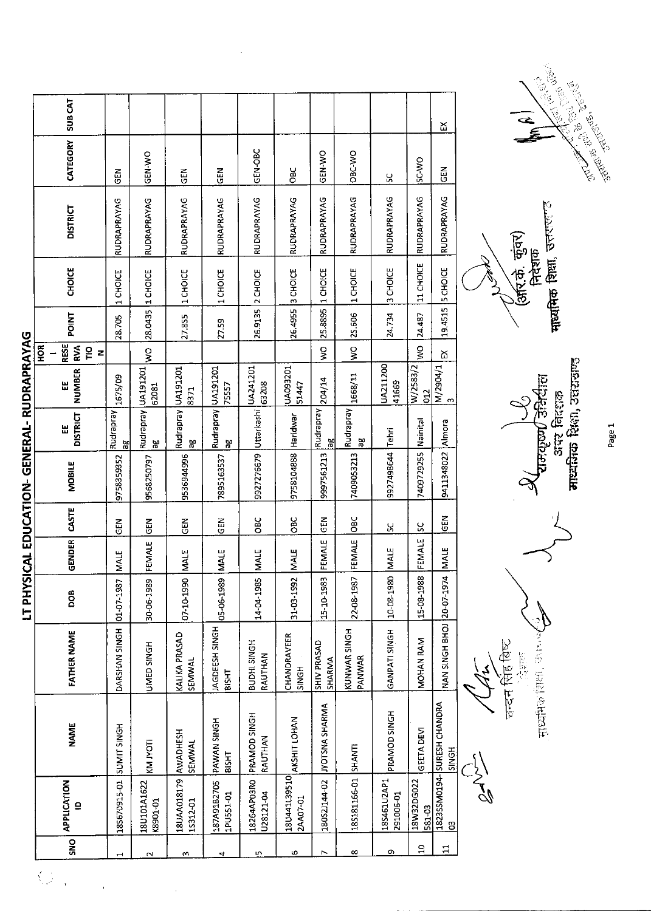|                                             |     | <b>SUB CAT</b>                     |                |                            |                                  |                                |                          |                          |                              |                        |                          |                      | 欠                                          |                  |
|---------------------------------------------|-----|------------------------------------|----------------|----------------------------|----------------------------------|--------------------------------|--------------------------|--------------------------|------------------------------|------------------------|--------------------------|----------------------|--------------------------------------------|------------------|
|                                             |     | CATEGORY                           | 준<br>영         | GEN-WO                     | 즶                                | EM<br>55                       | GEN-OBC                  | OBC                      | GEN-WO                       | OBC-WO                 | ပ္တ                      | <b>OW OS</b>         | 즍                                          |                  |
|                                             |     | <b>DISTRICT</b>                    | RUDRAPRAYAG    | RUDRAPRAYAG                | RUDRAPRAYAG                      | RUDRAPRAYAG                    | RUDRAPRAYAG              | RUDRAPRAYAG              | RUDRAPRAYAG                  | RUDRAPRAYAG            | RUDRAPRAYAG              | RUDRAPRAYAG          | RUDRAPRAYAG                                |                  |
|                                             |     | CHOICE                             | 1 CHOICE       | 1 CHOICE                   | 1 CHOICE                         | 1 CHOICE                       | 2 CHOICE                 | 26.4955 3 CHOICE         | 1 CHOICE                     | 1 CHOICE               | 3 CHOICE                 | 11 CHOICE            | <b>5 CHOICE</b>                            |                  |
|                                             |     | <b>POINT</b>                       | 28.705         | 28.0435                    | 27.855                           | 27.59                          | 26.9135                  |                          | 25.8895                      | 25.506                 | 24.734                   | 24.487               | 19.4515                                    |                  |
|                                             | HOR | RESE<br>RVA<br>$\frac{1}{2}$<br>Z  |                | $\frac{1}{2}$              |                                  |                                |                          |                          | g                            | $\frac{8}{2}$          |                          | ş                    | <u>አ</u>                                   |                  |
|                                             |     | <b>NUMBER</b><br>벖                 | 1675/09        | 62081                      | 8371                             | 75557                          | 63208                    | UA093201<br>51447        | 204/14                       | 1668/11                | UA211200<br>41669        | W/2583/2<br>012      | M/2904/1<br>ന                              |                  |
|                                             |     | <b>DISTRICT</b><br>쁪               | Rudrapray<br>븜 | Rudrapray   UA191201<br>χg | Rudrapray UA191201<br>မ္က        | Rudrapray UA191201<br>æ        | Uttarkashi  UA241201     |                          | Rudrapray<br>æ               | Rudrapray<br>æ         | Tehri                    | Nainital             |                                            |                  |
| LI PHYSICAL EDUCATION- GENERAL- KUDKAPKAYAG |     | <b>MOBILE</b>                      | 9758359352     | 9568250797                 | 9536944996                       | 7895163537                     | 9927276679               | 9758104888 Haridwar      | 9997561213                   | 7409053213             | 9927498644               | 7409729255           | 9411348022 Almora                          |                  |
|                                             |     | CASTE                              | 도<br>아         | <b>GEN</b>                 | M3D                              | <b>GEN</b>                     | OBC                      | OBC                      | <b>GEN</b>                   | OBC                    | X                        | ပ္တ                  | <b>GEN</b>                                 |                  |
|                                             |     | <b>GENDER</b>                      | <b>MALE</b>    | FEMALE                     | <b>MALE</b>                      | <b>MALE</b>                    | <b>MALE</b>              | <b>NALE</b>              | FEMALE                       | FEMALE                 | MALE                     | FEMALE               | MALE                                       |                  |
|                                             |     | DOB                                | 01-07-1987     | 30-06-1989                 | 07-10-1990                       | 05-06-1989                     | 14-04-1985               | 31-03-1992               | 15-10-1983                   | 22-08-1987             | 10-08-1980               | 15-08-1988           | 4                                          |                  |
|                                             |     | <b>FATHER NAME</b>                 | DARSHAN SINGH  | UMED SINGH                 | KALIKA PRASAD<br>SEMWAL          | JAGDEESH SINGH<br><b>BISHT</b> | BUDHI SINGH<br>RAUTHAN   | CHANDRAVEER<br>SINGH     | <b>SHIV PRASAD</b><br>SHARMA | KUNWAR SINGH<br>PANWAR | GANPATI SINGH            | MOHAN RAM            | NAN SINGH BHOI 20-07-197                   |                  |
|                                             |     | <b>NAME</b>                        | SUNIT SINGH    | <b>ILOM NN</b>             | <b>SEMWAL</b>                    | <b>PAWAN SINGH</b><br>BISHT    | PRAMOD SINGH<br>RAUTHAN  | AKSHIT LOHAN             | <b>JYOTSNA SHARMA</b>        |                        | PRAMOD SINGH             | GEETA DEVI           | 1823SSM0194-SURESH CHANDRA<br><b>SINGH</b> |                  |
|                                             |     | <b>APPLICATION</b><br>$\mathbf{a}$ | 185670915-01   | 18U101A1622<br>K8901-01    | 18UAA018179 AWADHESH<br>15312-01 | 187A91B2705<br>1PU551-01       | 18264AP03R0<br>U28121-04 | 18U441L39510<br>2AA07-01 | 180S2J144-02                 | 18S181166-01 SHANTI    | 18S461U2AP1<br>291006-01 | 18W32DG022<br>581.03 | $\mathbf{S}$                               | $\sum_{i=1}^{n}$ |
|                                             |     | SNO                                |                |                            |                                  |                                | L٥                       | Ф                        | N                            | $\infty$               | Q)                       | $\mathbf{a}$         | $\mathbf{1}$                               |                  |

IT DUVCICAL EDUCATION CENEDAL DUDADDAVAC

**CONTACT STATES** 

माध्यमिक शिक्षा, उत्तराज (अरि.के. कुंवर)<br>निदेशक

चन्दन सिंह बिष्ट<br>्रोजेल सध्यमिक शिक्षा, जनसम्बर

 $\overline{a}$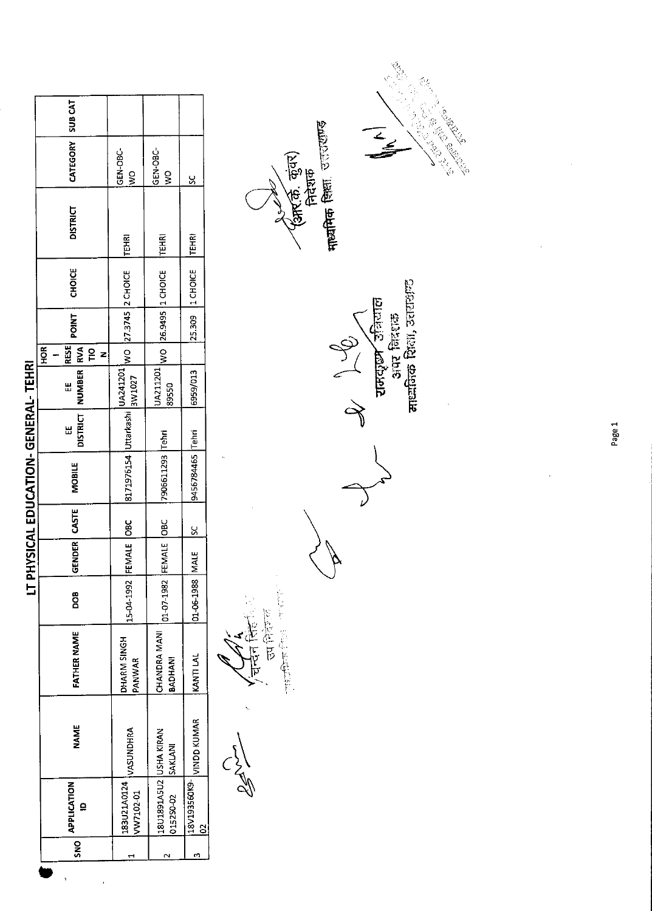|                                      | SUB <sub>CAT</sub>                                     |                           |                                     |                          | <b>CONSTRUCTION</b>                                                |
|--------------------------------------|--------------------------------------------------------|---------------------------|-------------------------------------|--------------------------|--------------------------------------------------------------------|
|                                      | CATEGORY                                               | GEN-OBC-<br>$\frac{8}{3}$ | GEN-OBC-<br>ş                       | š                        | <b>CONTRACTOR</b><br>$rac{1}{2}$<br>(आर.की. कुंवर)<br>निदेशक       |
|                                      | <b>DISTRICT</b>                                        | <b>TEHRI</b>              | <b>TEHRI</b>                        | <b>TEHRI</b>             | माध्यमिक शिक्षा, उत्तरराण्ड                                        |
|                                      | <b>CHOICE</b>                                          |                           | 1 CHOICE                            | 1 CHOICE                 |                                                                    |
|                                      | <b>POINT</b>                                           | WO 27.3745 2 CHOICE       | 26.9495                             | 25.309                   |                                                                    |
|                                      | <b>RESE</b><br>HOR<br><b>RVA</b><br>$\frac{1}{2}$<br>z |                           | $\frac{8}{2}$                       |                          |                                                                    |
|                                      | <b>NUMBER</b><br>변                                     | UA241201<br>3W1027        | UA211201<br>89550                   | 6959/013                 | ं समसूख उनियाल<br>आर निरंधक<br>मान्नकिक शिक्षा, उत्तराजन्द<br>Jen. |
|                                      | <b>DISTRICT</b><br>₩                                   |                           | Tehri                               |                          |                                                                    |
| LT PHYSICAL EDUCATION- GENERAL-TEHRI | <b>MOBILE</b>                                          | 8171976154 Uttarkashi     | 7906611293                          | 9456784465 Tehri         |                                                                    |
|                                      | CASTE                                                  | <b>OBC</b>                | OBC                                 | $\frac{8}{5}$            |                                                                    |
|                                      | GENDER                                                 |                           | FEMALE                              | <b>MALE</b>              |                                                                    |
|                                      | BOO                                                    | 15-04-1992 FEMALE         | $01 - 07 - 1982$                    | $01 - 06 - 1988$         |                                                                    |
|                                      | <b>FATHER NAME</b>                                     | DHARM SINGH<br>PANWAR     | CHANDRA MANI<br><b>BADHAN!</b>      | KANTI LAI                | 医血管管腔<br>।<br>ए                                                    |
|                                      | <b>NAME</b>                                            | VASUNDHRA                 | SAKLANI                             | VINDD KUMAR              |                                                                    |
|                                      | <b>APPLICATION</b><br>$\mathbf{a}$                     | 183U21A0124<br>VW7102-01  | 18U1891A5U2 USHA KIRAN<br>015250-02 | 18V193560K9-<br>$\Omega$ | くんじ                                                                |
|                                      | SN <sub>S</sub>                                        | Ч                         | $\sim$                              | m                        |                                                                    |
|                                      |                                                        |                           |                                     |                          |                                                                    |

 $\mathbf{r}_\mathrm{R}$ 

 $\frac{1}{2}$  ,  $\frac{1}{2}$ 

Page 1

 $\frac{1}{2}$ 

 $\mathcal{L}_{\mathcal{A}}$ 

 $\ddot{\phantom{0}}$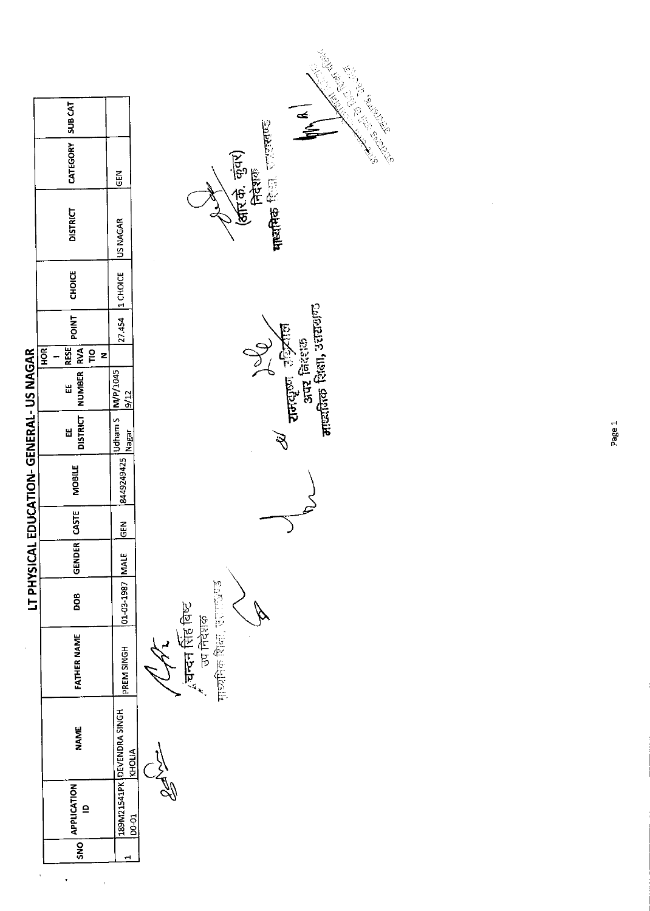| CATEGORY   SUB CAT<br><b>DISTRICT</b><br><b>CHOICE</b><br>POINT  <br>RESE<br><b>HOR</b><br>DISTRICT   NUMBER   RVA<br>ΓO<br>LT PHYSICAL EDUCATION-GENERAL- US NAGAR<br>z<br>u<br>U<br>Ш<br><b>MOBILE</b><br>ENDER CASTE | <b>MB</b><br>27.454 1 CHOICE US NAGAR<br>$[8449249425] \frac{10 \text{dham S}}{\text{lagar}} \frac{M/F/1045}{\text{la}^{1/1}}$<br><b>SEN</b> |                          |
|-------------------------------------------------------------------------------------------------------------------------------------------------------------------------------------------------------------------------|----------------------------------------------------------------------------------------------------------------------------------------------|--------------------------|
|                                                                                                                                                                                                                         |                                                                                                                                              |                          |
|                                                                                                                                                                                                                         |                                                                                                                                              |                          |
|                                                                                                                                                                                                                         |                                                                                                                                              |                          |
|                                                                                                                                                                                                                         |                                                                                                                                              |                          |
|                                                                                                                                                                                                                         |                                                                                                                                              |                          |
|                                                                                                                                                                                                                         | VIALE                                                                                                                                        |                          |
| 800                                                                                                                                                                                                                     | 101-03-1987 h                                                                                                                                |                          |
| FATHER NAME                                                                                                                                                                                                             | PREM SINGH                                                                                                                                   | $\overline{\mathcal{J}}$ |
| <b>NAME</b>                                                                                                                                                                                                             | 189M21541PK DEVENDRA SINGH<br>KHOLIA                                                                                                         |                          |
| <b>APPLICATION</b><br>$\mathbf{r}$                                                                                                                                                                                      | <b>DO-01</b>                                                                                                                                 |                          |
| SNO                                                                                                                                                                                                                     |                                                                                                                                              |                          |

ı,

**∕ ∕ ∕ ∕ ∕ ४ ⊾**<br>ॣं**चन्दन सिंह बिष्ट**<br>सुध्यपिक शिक्षा, उत्तराख्य **Marchines** 

*ou de la compte de la compte de la compte de la compte de la compte de la compte de la compte de la compte de la compte de la compte de la compte de la compte de la compte de la compte de la compte de la compte de la com*